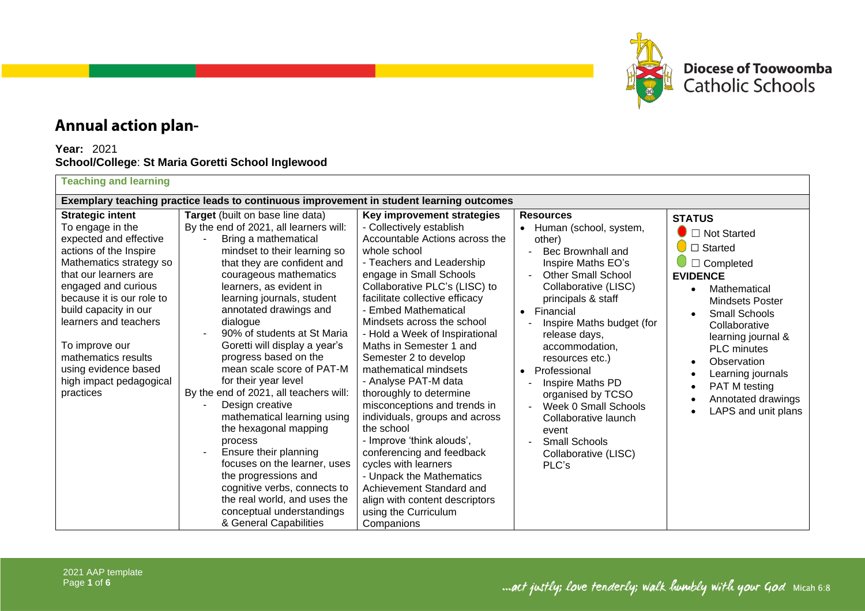

## **Annual action plan-**

## **Year:** 2021 **School/College**: **St Maria Goretti School Inglewood**

## **Teaching and learning**

| Exemplary teaching practice leads to continuous improvement in student learning outcomes                                                                                                                                                                                                                                                                           |                                                                                                                                                                                                                                                                                                                                                                                                                                                                                                                                                                                                                                                                                                                                                                                  |                                                                                                                                                                                                                                                                                                                                                                                                                                                                                                                                                                                                                                                                                                                                                                    |                                                                                                                                                                                                                                                                                                                                                                                                                                                                            |                                                                                                                                                                                                                                                                                                                                              |  |  |  |
|--------------------------------------------------------------------------------------------------------------------------------------------------------------------------------------------------------------------------------------------------------------------------------------------------------------------------------------------------------------------|----------------------------------------------------------------------------------------------------------------------------------------------------------------------------------------------------------------------------------------------------------------------------------------------------------------------------------------------------------------------------------------------------------------------------------------------------------------------------------------------------------------------------------------------------------------------------------------------------------------------------------------------------------------------------------------------------------------------------------------------------------------------------------|--------------------------------------------------------------------------------------------------------------------------------------------------------------------------------------------------------------------------------------------------------------------------------------------------------------------------------------------------------------------------------------------------------------------------------------------------------------------------------------------------------------------------------------------------------------------------------------------------------------------------------------------------------------------------------------------------------------------------------------------------------------------|----------------------------------------------------------------------------------------------------------------------------------------------------------------------------------------------------------------------------------------------------------------------------------------------------------------------------------------------------------------------------------------------------------------------------------------------------------------------------|----------------------------------------------------------------------------------------------------------------------------------------------------------------------------------------------------------------------------------------------------------------------------------------------------------------------------------------------|--|--|--|
| <b>Strategic intent</b><br>To engage in the<br>expected and effective<br>actions of the Inspire<br>Mathematics strategy so<br>that our learners are<br>engaged and curious<br>because it is our role to<br>build capacity in our<br>learners and teachers<br>To improve our<br>mathematics results<br>using evidence based<br>high impact pedagogical<br>practices | Target (built on base line data)<br>By the end of 2021, all learners will:<br>Bring a mathematical<br>mindset to their learning so<br>that they are confident and<br>courageous mathematics<br>learners, as evident in<br>learning journals, student<br>annotated drawings and<br>dialogue<br>90% of students at St Maria<br>Goretti will display a year's<br>progress based on the<br>mean scale score of PAT-M<br>for their year level<br>By the end of 2021, all teachers will:<br>Design creative<br>mathematical learning using<br>the hexagonal mapping<br>process<br>Ensure their planning<br>focuses on the learner, uses<br>the progressions and<br>cognitive verbs, connects to<br>the real world, and uses the<br>conceptual understandings<br>& General Capabilities | Key improvement strategies<br>- Collectively establish<br>Accountable Actions across the<br>whole school<br>- Teachers and Leadership<br>engage in Small Schools<br>Collaborative PLC's (LISC) to<br>facilitate collective efficacy<br><b>Embed Mathematical</b><br>Mindsets across the school<br>- Hold a Week of Inspirational<br>Maths in Semester 1 and<br>Semester 2 to develop<br>mathematical mindsets<br>- Analyse PAT-M data<br>thoroughly to determine<br>misconceptions and trends in<br>individuals, groups and across<br>the school<br>- Improve 'think alouds',<br>conferencing and feedback<br>cycles with learners<br>- Unpack the Mathematics<br>Achievement Standard and<br>align with content descriptors<br>using the Curriculum<br>Companions | <b>Resources</b><br>• Human (school, system,<br>other)<br>Bec Brownhall and<br>Inspire Maths EO's<br><b>Other Small School</b><br>Collaborative (LISC)<br>principals & staff<br>Financial<br>$\bullet$<br>Inspire Maths budget (for<br>release days,<br>accommodation,<br>resources etc.)<br>Professional<br>$\bullet$<br>Inspire Maths PD<br>organised by TCSO<br>Week 0 Small Schools<br>Collaborative launch<br>event<br>Small Schools<br>Collaborative (LISC)<br>PLC's | <b>STATUS</b><br>$\blacksquare$ Not Started<br>$\bigcirc$ $\square$ Started<br>$\Box$ Completed<br><b>EVIDENCE</b><br>Mathematical<br><b>Mindsets Poster</b><br>Small Schools<br>Collaborative<br>learning journal &<br><b>PLC</b> minutes<br>Observation<br>Learning journals<br>PAT M testing<br>Annotated drawings<br>LAPS and unit plans |  |  |  |

... act justly; love tenderly; walk humbly with your God Micah 6:8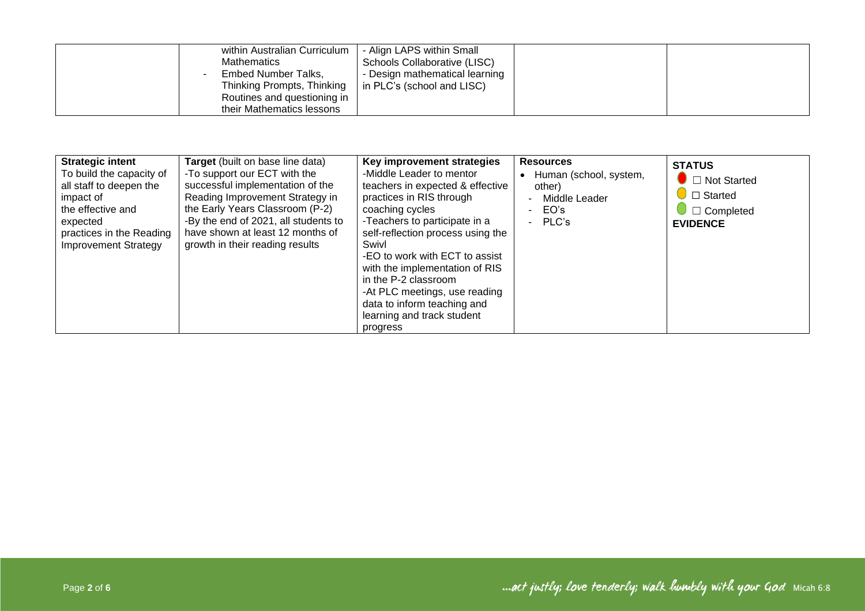| within Australian Curriculum<br><b>Mathematics</b><br>Embed Number Talks,<br>Thinking Prompts, Thinking<br>Routines and questioning in | - Align LAPS within Small<br>Schools Collaborative (LISC)<br>- Design mathematical learning<br>in PLC's (school and LISC) |  |
|----------------------------------------------------------------------------------------------------------------------------------------|---------------------------------------------------------------------------------------------------------------------------|--|
| their Mathematics lessons                                                                                                              |                                                                                                                           |  |

| <b>Strategic intent</b><br>To build the capacity of<br>all staff to deepen the<br>impact of<br>the effective and<br>expected<br>practices in the Reading<br><b>Improvement Strategy</b> | <b>Target</b> (built on base line data)<br>-To support our ECT with the<br>successful implementation of the<br>Reading Improvement Strategy in<br>the Early Years Classroom (P-2)<br>-By the end of 2021, all students to<br>have shown at least 12 months of<br>growth in their reading results | Key improvement strategies<br>-Middle Leader to mentor<br>teachers in expected & effective<br>practices in RIS through<br>coaching cycles<br>-Teachers to participate in a<br>self-reflection process using the<br>Swivl<br>-EO to work with ECT to assist<br>with the implementation of RIS<br>in the P-2 classroom<br>-At PLC meetings, use reading<br>data to inform teaching and<br>learning and track student<br>progress | <b>Resources</b><br>Human (school, system,<br>other)<br>Middle Leader<br>EO's<br>PLC's | <b>STATUS</b><br>$\blacksquare$ Not Started<br>$\Box$ Started<br>$\Box$ Completed<br><b>EVIDENCE</b> |
|-----------------------------------------------------------------------------------------------------------------------------------------------------------------------------------------|--------------------------------------------------------------------------------------------------------------------------------------------------------------------------------------------------------------------------------------------------------------------------------------------------|--------------------------------------------------------------------------------------------------------------------------------------------------------------------------------------------------------------------------------------------------------------------------------------------------------------------------------------------------------------------------------------------------------------------------------|----------------------------------------------------------------------------------------|------------------------------------------------------------------------------------------------------|
|-----------------------------------------------------------------------------------------------------------------------------------------------------------------------------------------|--------------------------------------------------------------------------------------------------------------------------------------------------------------------------------------------------------------------------------------------------------------------------------------------------|--------------------------------------------------------------------------------------------------------------------------------------------------------------------------------------------------------------------------------------------------------------------------------------------------------------------------------------------------------------------------------------------------------------------------------|----------------------------------------------------------------------------------------|------------------------------------------------------------------------------------------------------|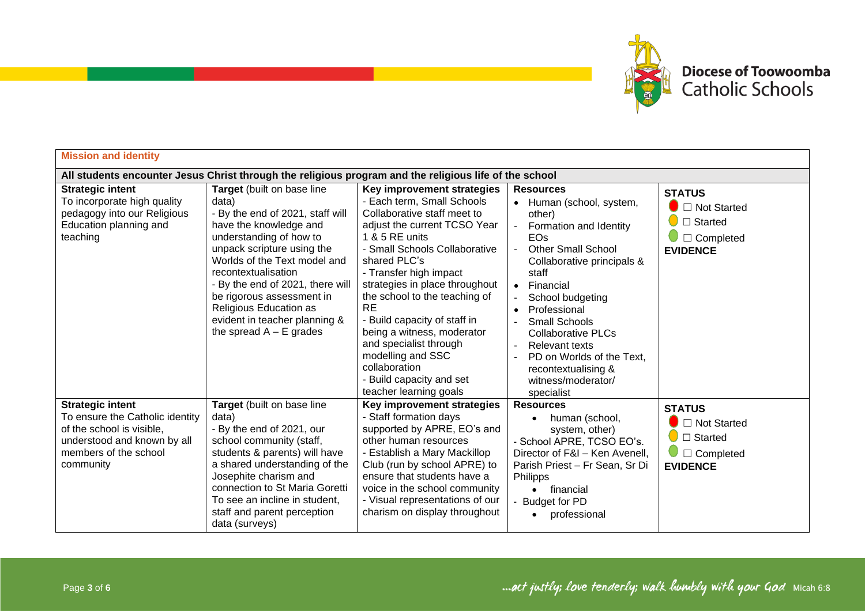

| <b>Mission and identity</b>                                                                                                                                  |                                                                                                                                                                                                                                                                                                                                                                            |                                                                                                                                                                                                                                                                                                                                                                                                                                                                                          |                                                                                                                                                                                                                                                                                                                                                                                                  |                                                                                                                     |  |
|--------------------------------------------------------------------------------------------------------------------------------------------------------------|----------------------------------------------------------------------------------------------------------------------------------------------------------------------------------------------------------------------------------------------------------------------------------------------------------------------------------------------------------------------------|------------------------------------------------------------------------------------------------------------------------------------------------------------------------------------------------------------------------------------------------------------------------------------------------------------------------------------------------------------------------------------------------------------------------------------------------------------------------------------------|--------------------------------------------------------------------------------------------------------------------------------------------------------------------------------------------------------------------------------------------------------------------------------------------------------------------------------------------------------------------------------------------------|---------------------------------------------------------------------------------------------------------------------|--|
|                                                                                                                                                              | All students encounter Jesus Christ through the religious program and the religious life of the school                                                                                                                                                                                                                                                                     |                                                                                                                                                                                                                                                                                                                                                                                                                                                                                          |                                                                                                                                                                                                                                                                                                                                                                                                  |                                                                                                                     |  |
| <b>Strategic intent</b><br>To incorporate high quality<br>pedagogy into our Religious<br>Education planning and<br>teaching                                  | Target (built on base line<br>data)<br>- By the end of 2021, staff will<br>have the knowledge and<br>understanding of how to<br>unpack scripture using the<br>Worlds of the Text model and<br>recontextualisation<br>- By the end of 2021, there will<br>be rigorous assessment in<br>Religious Education as<br>evident in teacher planning &<br>the spread $A - E$ grades | Key improvement strategies<br>- Each term, Small Schools<br>Collaborative staff meet to<br>adjust the current TCSO Year<br>1 & 5 RE units<br>- Small Schools Collaborative<br>shared PLC's<br>- Transfer high impact<br>strategies in place throughout<br>the school to the teaching of<br><b>RE</b><br>- Build capacity of staff in<br>being a witness, moderator<br>and specialist through<br>modelling and SSC<br>collaboration<br>- Build capacity and set<br>teacher learning goals | <b>Resources</b><br>Human (school, system,<br>other)<br>Formation and Identity<br>EOs<br><b>Other Small School</b><br>Collaborative principals &<br>staff<br>Financial<br>$\bullet$<br>School budgeting<br>Professional<br>Small Schools<br><b>Collaborative PLCs</b><br><b>Relevant texts</b><br>$\sim$<br>PD on Worlds of the Text,<br>recontextualising &<br>witness/moderator/<br>specialist | <b>STATUS</b><br>$\bullet$ $\Box$ Not Started<br>$\Box$ Started<br>$\Box$ Completed<br><b>EVIDENCE</b>              |  |
| <b>Strategic intent</b><br>To ensure the Catholic identity<br>of the school is visible,<br>understood and known by all<br>members of the school<br>community | Target (built on base line<br>data)<br>- By the end of 2021, our<br>school community (staff,<br>students & parents) will have<br>a shared understanding of the<br>Josephite charism and<br>connection to St Maria Goretti<br>To see an incline in student,<br>staff and parent perception<br>data (surveys)                                                                | Key improvement strategies<br>- Staff formation days<br>supported by APRE, EO's and<br>other human resources<br>- Establish a Mary Mackillop<br>Club (run by school APRE) to<br>ensure that students have a<br>voice in the school community<br>- Visual representations of our<br>charism on display throughout                                                                                                                                                                         | <b>Resources</b><br>human (school,<br>system, other)<br>- School APRE, TCSO EO's.<br>Director of F&I - Ken Avenell,<br>Parish Priest - Fr Sean, Sr Di<br><b>Philipps</b><br>financial<br>$\bullet$<br>- Budget for PD<br>professional<br>$\bullet$                                                                                                                                               | <b>STATUS</b><br>$\bullet$ $\Box$ Not Started<br>$\Box$ Started<br>$\bigcup$ $\square$ Completed<br><b>EVIDENCE</b> |  |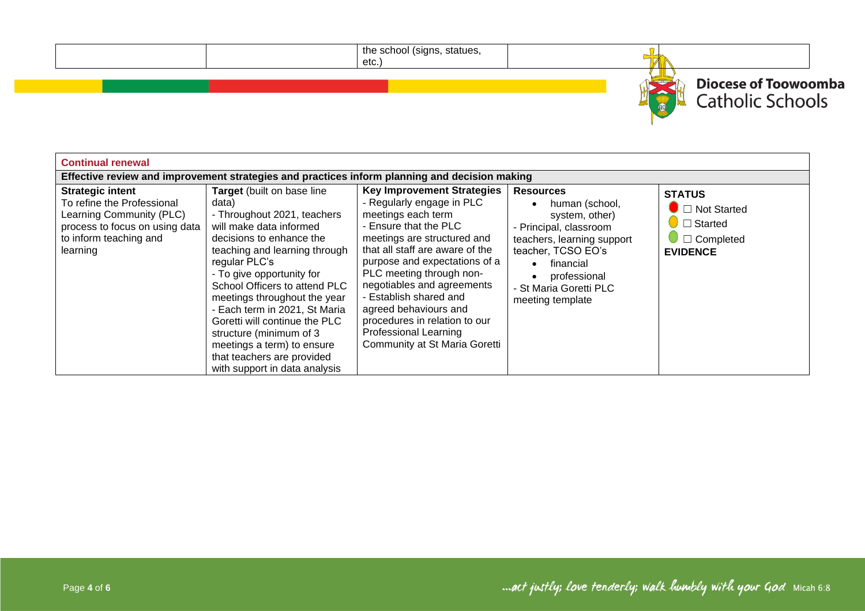| the school (signs, statues,<br>etc.) |                                                                |
|--------------------------------------|----------------------------------------------------------------|
|                                      | <b>Diocese of Toowoomba</b><br>:hools<br>$\Theta$ <sup>O</sup> |

| <b>Continual renewal</b>                                                                                                                                  |                                                                                                                                                                                                                                                                                                                                                                                                                                                                     |                                                                                                                                                                                                                                                                                                                                                                                                                                 |                                                                                                                                                                                                                            |                                                                                              |  |
|-----------------------------------------------------------------------------------------------------------------------------------------------------------|---------------------------------------------------------------------------------------------------------------------------------------------------------------------------------------------------------------------------------------------------------------------------------------------------------------------------------------------------------------------------------------------------------------------------------------------------------------------|---------------------------------------------------------------------------------------------------------------------------------------------------------------------------------------------------------------------------------------------------------------------------------------------------------------------------------------------------------------------------------------------------------------------------------|----------------------------------------------------------------------------------------------------------------------------------------------------------------------------------------------------------------------------|----------------------------------------------------------------------------------------------|--|
|                                                                                                                                                           |                                                                                                                                                                                                                                                                                                                                                                                                                                                                     | Effective review and improvement strategies and practices inform planning and decision making                                                                                                                                                                                                                                                                                                                                   |                                                                                                                                                                                                                            |                                                                                              |  |
| <b>Strategic intent</b><br>To refine the Professional<br>Learning Community (PLC)<br>process to focus on using data<br>to inform teaching and<br>learning | Target (built on base line<br>data)<br>- Throughout 2021, teachers<br>will make data informed<br>decisions to enhance the<br>teaching and learning through<br>regular PLC's<br>- To give opportunity for<br>School Officers to attend PLC<br>meetings throughout the year<br>- Each term in 2021, St Maria<br>Goretti will continue the PLC<br>structure (minimum of 3<br>meetings a term) to ensure<br>that teachers are provided<br>with support in data analysis | <b>Key Improvement Strategies</b><br>- Regularly engage in PLC<br>meetings each term<br>- Ensure that the PLC<br>meetings are structured and<br>that all staff are aware of the<br>purpose and expectations of a<br>PLC meeting through non-<br>negotiables and agreements<br>- Establish shared and<br>agreed behaviours and<br>procedures in relation to our<br><b>Professional Learning</b><br>Community at St Maria Goretti | <b>Resources</b><br>human (school,<br>system, other)<br>- Principal, classroom<br>teachers, learning support<br>teacher, TCSO EO's<br>financial<br>$\bullet$<br>professional<br>- St Maria Goretti PLC<br>meeting template | <b>STATUS</b><br>$\Box$ Not Started<br>$\Box$ Started<br>$\Box$ Completed<br><b>EVIDENCE</b> |  |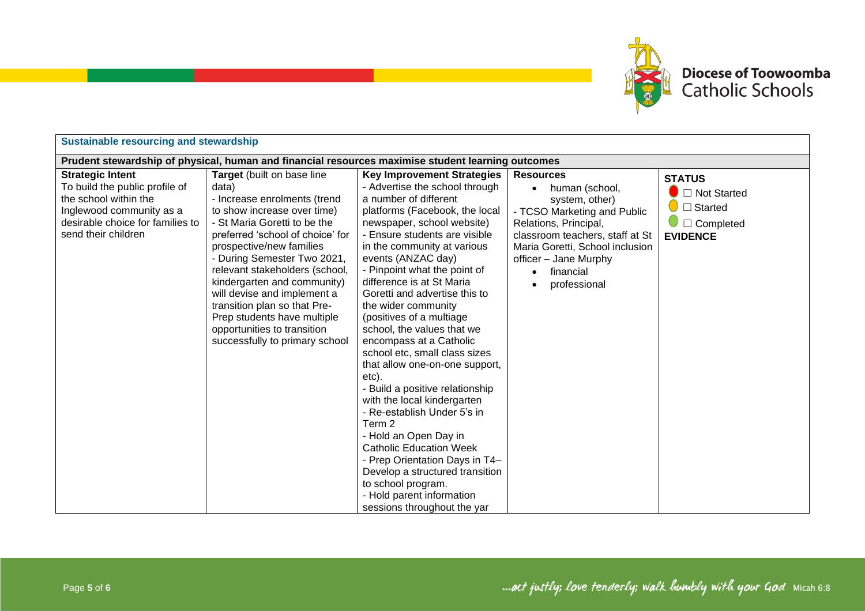

| <b>Sustainable resourcing and stewardship</b>                                                                                                                             |                                                                                                                                                                                                                                                                                                                                                                                                                                                                   |                                                                                                                                                                                                                                                                                                                                                                                                                                                                                                                                                                                                                                                                                                                                                                                                                                                                       |                                                                                                                                                                                                                                                                    |                                                                                                        |  |
|---------------------------------------------------------------------------------------------------------------------------------------------------------------------------|-------------------------------------------------------------------------------------------------------------------------------------------------------------------------------------------------------------------------------------------------------------------------------------------------------------------------------------------------------------------------------------------------------------------------------------------------------------------|-----------------------------------------------------------------------------------------------------------------------------------------------------------------------------------------------------------------------------------------------------------------------------------------------------------------------------------------------------------------------------------------------------------------------------------------------------------------------------------------------------------------------------------------------------------------------------------------------------------------------------------------------------------------------------------------------------------------------------------------------------------------------------------------------------------------------------------------------------------------------|--------------------------------------------------------------------------------------------------------------------------------------------------------------------------------------------------------------------------------------------------------------------|--------------------------------------------------------------------------------------------------------|--|
| Prudent stewardship of physical, human and financial resources maximise student learning outcomes                                                                         |                                                                                                                                                                                                                                                                                                                                                                                                                                                                   |                                                                                                                                                                                                                                                                                                                                                                                                                                                                                                                                                                                                                                                                                                                                                                                                                                                                       |                                                                                                                                                                                                                                                                    |                                                                                                        |  |
| <b>Strategic Intent</b><br>To build the public profile of<br>the school within the<br>Inglewood community as a<br>desirable choice for families to<br>send their children | Target (built on base line<br>data)<br>- Increase enrolments (trend<br>to show increase over time)<br>- St Maria Goretti to be the<br>preferred 'school of choice' for<br>prospective/new families<br>- During Semester Two 2021,<br>relevant stakeholders (school,<br>kindergarten and community)<br>will devise and implement a<br>transition plan so that Pre-<br>Prep students have multiple<br>opportunities to transition<br>successfully to primary school | <b>Key Improvement Strategies</b><br>- Advertise the school through<br>a number of different<br>platforms (Facebook, the local<br>newspaper, school website)<br>- Ensure students are visible<br>in the community at various<br>events (ANZAC day)<br>- Pinpoint what the point of<br>difference is at St Maria<br>Goretti and advertise this to<br>the wider community<br>(positives of a multiage<br>school, the values that we<br>encompass at a Catholic<br>school etc, small class sizes<br>that allow one-on-one support,<br>etc).<br>- Build a positive relationship<br>with the local kindergarten<br>- Re-establish Under 5's in<br>Term 2<br>- Hold an Open Day in<br><b>Catholic Education Week</b><br>- Prep Orientation Days in T4-<br>Develop a structured transition<br>to school program.<br>- Hold parent information<br>sessions throughout the yar | <b>Resources</b><br>human (school,<br>$\bullet$<br>system, other)<br>- TCSO Marketing and Public<br>Relations, Principal,<br>classroom teachers, staff at St<br>Maria Goretti, School inclusion<br>officer - Jane Murphy<br>financial<br>$\bullet$<br>professional | <b>STATUS</b><br>$\bullet$ $\Box$ Not Started<br>$\Box$ Started<br>$\Box$ Completed<br><b>EVIDENCE</b> |  |